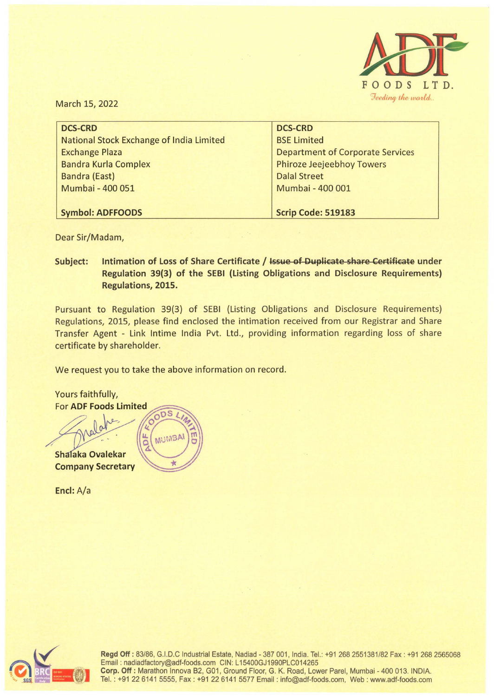

March 15, 2022

| <b>DCS-CRD</b>                          |
|-----------------------------------------|
| <b>BSE Limited</b>                      |
| <b>Department of Corporate Services</b> |
| <b>Phiroze Jeejeebhoy Towers</b>        |
| <b>Dalal Street</b>                     |
| Mumbai - 400 001                        |
|                                         |
| Scrip Code: 519183                      |
|                                         |

Dear Sir/Madam,

**Subject:** Intimation of Loss of Share Certificate / Issue of Duplicate share Certificate under **Regulation 39(3) of the SEBI (Listing Obligations and Disclosure Requirements) Regulations, 2015.** 

Pursuant to Regulation 39(3) of SEBI (Listing Obligations and Disclosure Requirements) Regulations, 2015, please find enclosed the intimation received from our Registrar and Share Transfer Agent - Link lntime India Pvt. Ltd., providing information regarding loss of share certificate by shareholder.

We request you to take the above information on record.

Yours faithfully, **For ADF Foods Limited**  $nS$ MUMBA Shalaka Ovalekar **Company Secretary** 

**Encl:** A/a